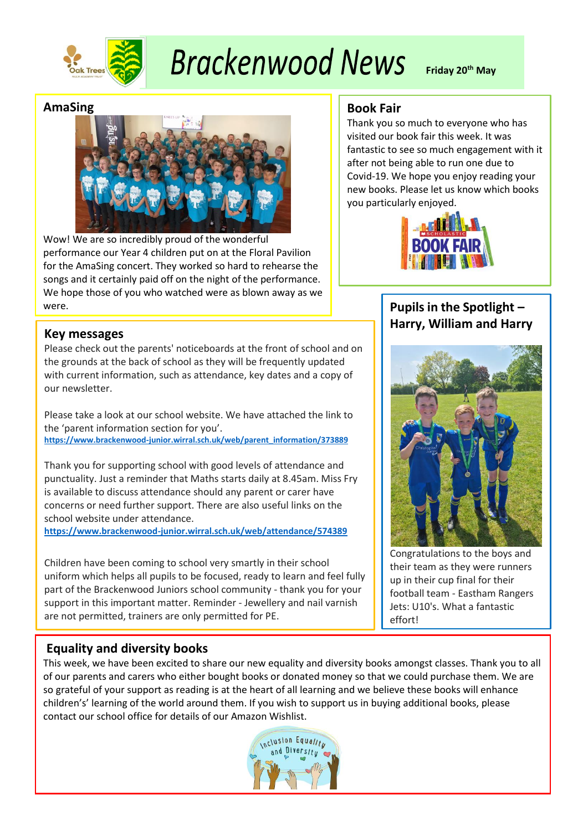

# **Brackenwood News**

**Friday 20th May**

## **AmaSing**



Wow! We are so incredibly proud of the wonderful performance our Year 4 children put on at the Floral Pavilion for the AmaSing concert. They worked so hard to rehearse the songs and it certainly paid off on the night of the performance. We hope those of you who watched were as blown away as we were.

# **Key messages**

Please check out the parents' noticeboards at the front of school and on the grounds at the back of school as they will be frequently updated with current information, such as attendance, key dates and a copy of our newsletter.

Please take a look at our school website. We have attached the link to the 'parent information section for you'. **[https://www.brackenwood-junior.wirral.sch.uk/web/parent\\_information/373889](https://www.brackenwood-junior.wirral.sch.uk/web/parent_information/373889)**

Thank you for supporting school with good levels of attendance and punctuality. Just a reminder that Maths starts daily at 8.45am. Miss Fry is available to discuss attendance should any parent or carer have concerns or need further support. There are also useful links on the school website under attendance.

**<https://www.brackenwood-junior.wirral.sch.uk/web/attendance/574389>**

Children have been coming to school very smartly in their school uniform which helps all pupils to be focused, ready to learn and feel fully part of the Brackenwood Juniors school community - thank you for your support in this important matter. Reminder - Jewellery and nail varnish are not permitted, trainers are only permitted for PE.

# **Book Fair**

Thank you so much to everyone who has visited our book fair this week. It was fantastic to see so much engagement with it after not being able to run one due to Covid-19. We hope you enjoy reading your new books. Please let us know which books you particularly enjoyed.



# **Pupils in the Spotlight -Harry, William and Harry**



Congratulations to the boys and their team as they were runners up in their cup final for their football team - Eastham Rangers Jets: U10's. What a fantastic effort!

# **Equality and diversity books**

This week, we have been excited to share our new equality and diversity books amongst classes. Thank you to all of our parents and carers who either bought books or donated money so that we could purchase them. We are so grateful of your support as reading is at the heart of all learning and we believe these books will enhance children's' learning of the world around them. If you wish to support us in buying additional books, please contact our school office for details of our Amazon Wishlist.